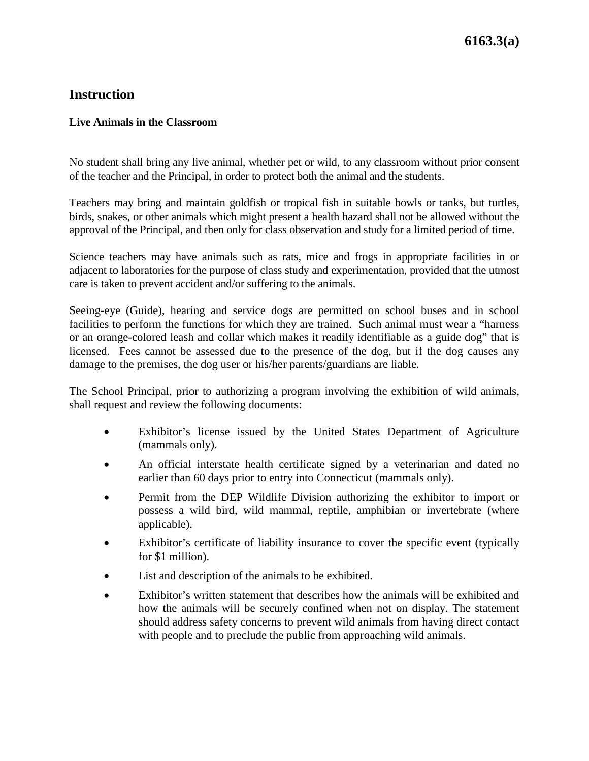## **Instruction**

## **Live Animals in the Classroom**

No student shall bring any live animal, whether pet or wild, to any classroom without prior consent of the teacher and the Principal, in order to protect both the animal and the students.

Teachers may bring and maintain goldfish or tropical fish in suitable bowls or tanks, but turtles, birds, snakes, or other animals which might present a health hazard shall not be allowed without the approval of the Principal, and then only for class observation and study for a limited period of time.

Science teachers may have animals such as rats, mice and frogs in appropriate facilities in or adjacent to laboratories for the purpose of class study and experimentation, provided that the utmost care is taken to prevent accident and/or suffering to the animals.

Seeing-eye (Guide), hearing and service dogs are permitted on school buses and in school facilities to perform the functions for which they are trained. Such animal must wear a "harness or an orange-colored leash and collar which makes it readily identifiable as a guide dog" that is licensed. Fees cannot be assessed due to the presence of the dog, but if the dog causes any damage to the premises, the dog user or his/her parents/guardians are liable.

The School Principal, prior to authorizing a program involving the exhibition of wild animals, shall request and review the following documents:

- Exhibitor's license issued by the United States Department of Agriculture (mammals only).
- An official interstate health certificate signed by a veterinarian and dated no earlier than 60 days prior to entry into Connecticut (mammals only).
- Permit from the DEP Wildlife Division authorizing the exhibitor to import or possess a wild bird, wild mammal, reptile, amphibian or invertebrate (where applicable).
- Exhibitor's certificate of liability insurance to cover the specific event (typically for \$1 million).
- List and description of the animals to be exhibited.
- Exhibitor's written statement that describes how the animals will be exhibited and how the animals will be securely confined when not on display. The statement should address safety concerns to prevent wild animals from having direct contact with people and to preclude the public from approaching wild animals.